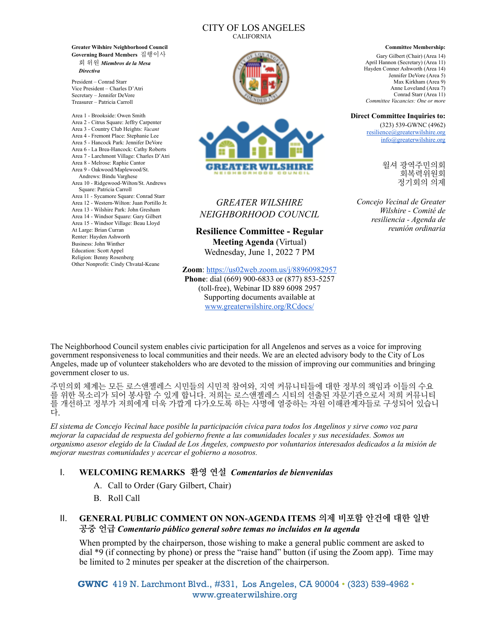#### CITY OF LOS ANGELES CALIFORNIA

**Greater Wilshire Neighborhood Council Governing Board Members** 집행이사 회 위원 *Miembros de la Mesa Directiva*

President – Conrad Starr Vice President – Charles D'Atri Secretary – Jennifer DeVore Treasurer – Patricia Carroll

Area 1 - Brookside: Owen Smith Area 2 - Citrus Square: Jeffry Carpenter Area 3 - Country Club Heights: *Vacant* Area 4 - Fremont Place: Stephanie Lee Area 5 - Hancock Park: Jennifer DeVore Area 6 - La Brea-Hancock: Cathy Roberts Area 7 - Larchmont Village: Charles D'Atri Area 8 - Melrose: Raphie Cantor Area 9 - Oakwood/Maplewood/St. Andrews: Bindu Varghese Area 10 - Ridgewood-Wilton/St. Andrews Square: Patricia Carroll Area 11 - Sycamore Square: Conrad Starr Area 12 - Western-Wilton: Juan Portillo Jr. Area 13 - Wilshire Park: John Gresham Area 14 - Windsor Square: Gary Gilbert Area 15 - Windsor Village: Beau Lloyd At Large: Brian Curran Renter: Hayden Ashworth Business: John Winther Education: Scott Appel Religion: Benny Rosenberg Other Nonprofit: Cindy Chvatal-Keane





# *GREATER WILSHIRE NEIGHBORHOOD COUNCIL*

**Resilience Committee - Regular Meeting Agenda** (Virtual) Wednesday, June 1, 2022 7 PM

**Zoom**:<https://us02web.zoom.us/j/88960982957> **Phone**: dial (669) 900-6833 or (877) 853-5257 (toll-free), Webinar ID 889 6098 2957 Supporting documents available at [www.greaterwilshire.org/RCdocs/](http://www.greaterwilshire.org/RCdocs/) 

#### **Committee Membership:**

Gary Gilbert (Chair) (Area 14) April Hannon (Secretary) (Area 11) Hayden Conner Ashworth (Area 14) Jennifer DeVore (Area 5) Max Kirkham (Area 9) Anne Loveland (Area 7) Conrad Starr (Area 11) *Committee Vacancies: One or more*

#### **Direct Committee Inquiries to:**

(323) 539-GWNC (4962) [resilience@greaterwilshire.org](mailto:resilience@greaterwilshire.org) [info@greaterwilshire.org](mailto:info@greaterwilshire.org)

> 윌셔 광역주민의회 회복력위원회 정기회의 의제

*Concejo Vecinal de Greater Wilshire - Comité de resiliencia - Agenda de reunión ordinaria*

The Neighborhood Council system enables civic participation for all Angelenos and serves as a voice for improving government responsiveness to local communities and their needs. We are an elected advisory body to the City of Los Angeles, made up of volunteer stakeholders who are devoted to the mission of improving our communities and bringing government closer to us.

주민의회 체계는 모든 로스앤젤레스 시민들의 시민적 참여와, 지역 커뮤니티들에 대한 정부의 책임과 이들의 수요 를 위한 목소리가 되어 봉사할 수 있게 합니다. 저희는 로스앤젤레스 시티의 선출된 자문기관으로서 저희 커뮤니티 를 개선하고 정부가 저희에게 더욱 가깝게 다가오도록 하는 사명에 열중하는 자원 이해관계자들로 구성되어 있습니 다.

*El sistema de Concejo Vecinal hace posible la participación cívica para todos los Angelinos y sirve como voz para mejorar la capacidad de respuesta del gobierno frente a las comunidades locales y sus necesidades. Somos un organismo asesor elegido de la Ciudad de Los Ángeles, compuesto por voluntarios interesados dedicados a la misión de mejorar nuestras comunidades y acercar el gobierno a nosotros.*

## I. **WELCOMING REMARKS 환영 연설** *Comentarios de bienvenidas*

- A. Call to Order (Gary Gilbert, Chair)
- B. Roll Call

## II. **GENERAL PUBLIC COMMENT ON NON-AGENDA ITEMS 의제 비포함 안건에 대한 일반 공중 언급** *Comentario público general sobre temas no incluidos en la agenda*

When prompted by the chairperson, those wishing to make a general public comment are asked to dial \*9 (if connecting by phone) or press the "raise hand" button (if using the Zoom app). Time may be limited to 2 minutes per speaker at the discretion of the chairperson.

 **GWNC** 419 N. Larchmont Blvd., #331, Los Angeles, CA 90004 • (323) 539-4962 • www.greaterwilshire.org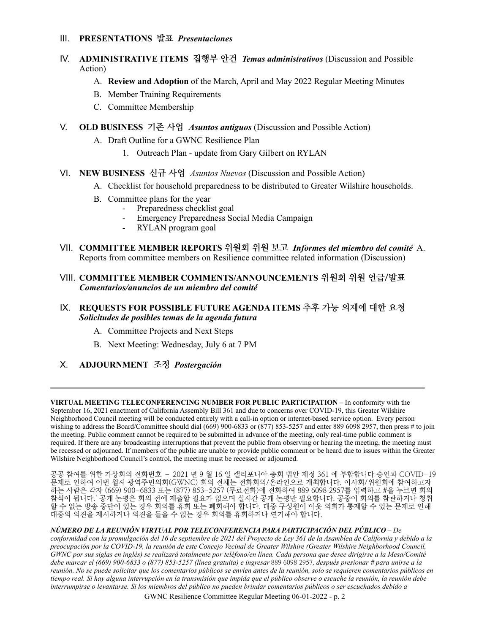#### III. **PRESENTATIONS 발표** *Presentaciones*

### IV. **ADMINISTRATIVE ITEMS 집행부 안건** *Temas administrativos* (Discussion and Possible Action)

- A. **Review and Adoption** of the March, April and May 2022 Regular Meeting Minutes
- B. Member Training Requirements
- C. Committee Membership
- V. **OLD BUSINESS 기존 사업** *Asuntos antiguos* (Discussion and Possible Action)
	- A. Draft Outline for a GWNC Resilience Plan
		- 1. Outreach Plan update from Gary Gilbert on RYLAN
- VI. **NEW BUSINESS 신규 사업** *Asuntos Nuevos* (Discussion and Possible Action)
	- A. Checklist for household preparedness to be distributed to Greater Wilshire households.
	- B. Committee plans for the year
		- Preparedness checklist goal
			- Emergency Preparedness Social Media Campaign
			- RYLAN program goal
- VII. **COMMITTEE MEMBER REPORTS 위원회 위원 보고** *Informes del miembro del comité* A. Reports from committee members on Resilience committee related information (Discussion)
- VIII. **COMMITTEE MEMBER COMMENTS/ANNOUNCEMENTS 위원회 위원 언급/발표** *Comentarios/anuncios de un miembro del comité*

### IX. **REQUESTS FOR POSSIBLE FUTURE AGENDA ITEMS 추후 가능 의제에 대한 요청**  *Solicitudes de posibles temas de la agenda futura*

- A. Committee Projects and Next Steps
- B. Next Meeting: Wednesday, July 6 at 7 PM
- X. **ADJOURNMENT 조정** *Postergación*

**VIRTUAL MEETING TELECONFERENCING NUMBER FOR PUBLIC PARTICIPATION** – In conformity with the September 16, 2021 enactment of California Assembly Bill 361 and due to concerns over COVID-19, this Greater Wilshire Neighborhood Council meeting will be conducted entirely with a call-in option or internet-based service option. Every person wishing to address the Board/Committee should dial (669) 900-6833 or (877) 853-5257 and enter 889 6098 2957, then press # to join the meeting. Public comment cannot be required to be submitted in advance of the meeting, only real-time public comment is required. If there are any broadcasting interruptions that prevent the public from observing or hearing the meeting, the meeting must be recessed or adjourned. If members of the public are unable to provide public comment or be heard due to issues within the Greater Wilshire Neighborhood Council's control, the meeting must be recessed or adjourned.

공공 참여를 위한 가상회의 전화번호 – 2021 년 9 월 16 일 캘리포니아 총회 법안 제정 361 에 부합합니다 승인과 COVID-19 문제로 인하여 이번 윌셔 광역주민의회(GWNC) 회의 전체는 전화회의/온라인으로 개최합니다. 이사회/위원회에 참여하고자 하는 사람은 각자 (669) 900-6833 또는 (877) 853-5257 (무료전화)에 전화하여 889 6098 2957를 입력하고 #을 누르면 회의 참석이 됩니다.` 공개 논평은 회의 전에 제출할 필요가 없으며 실시간 공개 논평만 필요합니다. 공중이 회의를 참관하거나 청취 할 수 없는 방송 중단이 있는 경우 회의를 휴회 또는 폐회해야 합니다. 대중 구성원이 이웃 의회가 통제할 수 있는 문제로 인해 대중의 의견을 제시하거나 의견을 들을 수 없는 경우 회의를 휴회하거나 연기해야 합니다.

*NÚMERO DE LA REUNIÓN VIRTUAL POR TELECONFERENCIA PARA PARTICIPACIÓN DEL PÚBLICO* – *De conformidad con la promulgación del 16 de septiembre de 2021 del Proyecto de Ley 361 de la Asamblea de California y debido a la preocupación por la COVID-19, la reunión de este Concejo Vecinal de Greater Wilshire (Greater Wilshire Neighborhood Council, GWNC por sus siglas en inglés) se realizará totalmente por teléfono/en línea. Cada persona que desee dirigirse a la Mesa/Comité debe marcar el (669) 900-6833 o (877) 853-5257 (línea gratuita) e ingresar* 889 6098 2957*, después presionar # para unirse a la reunión. No se puede solicitar que los comentarios públicos se envíen antes de la reunión, solo se requieren comentarios públicos en tiempo real. Si hay alguna interrupción en la transmisión que impida que el público observe o escuche la reunión, la reunión debe interrumpirse o levantarse. Si los miembros del público no pueden brindar comentarios públicos o ser escuchados debido a* 

GWNC Resilience Committee Regular Meeting 06-01-2022 - p. 2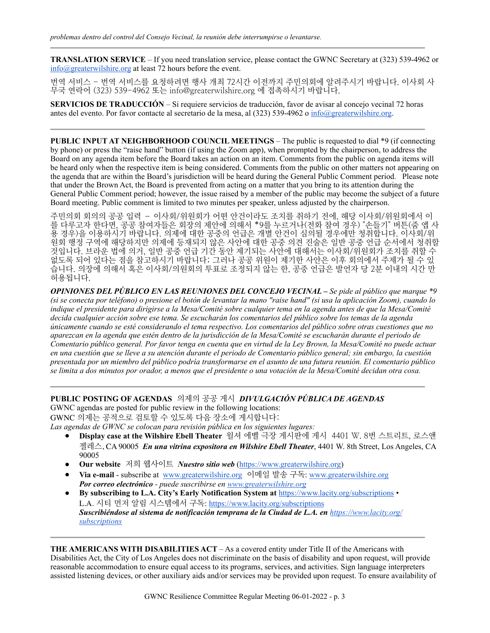**TRANSLATION SERVICE** – If you need translation service, please contact the GWNC Secretary at (323) 539-4962 or [info@greaterwilshire.org](mailto:info@greaterwilshire.org) at least 72 hours before the event.

번역 서비스 - 번역 서비스를 요청하려면 행사 개최 72시간 이전까지 주민의회에 알려주시기 바랍니다. 이사회 사 무국 연락어 (323) 539-4962 또는 [info@greaterwilshire.org](mailto:info@greaterwilshire.org) 에 접촉하시기 바랍니다.

**SERVICIOS DE TRADUCCIÓN** – S[i requiere servicios de traducción, favor de avisar al concejo vecinal 72 horas](http://www.greaterwilshire.org/)  [antes del evento. Por favor contacte al secretario de la mesa, al \(323\) 539-4962 o](http://www.greaterwilshire.org/) [info@greaterwilshire.org](mailto:info@greaterwilshire.org)[.](http://www.greaterwilshire.org/)

**PUBLIC INPUT AT NEIGHBORHOOD COUNCIL MEETINGS – The public is requested to dial \*9 (if connecting** by phone) or press the "raise hand" button (if using the Zoom app), when prompted by the chairperson, to address the Board on any agenda item before the Board takes an action on an item. Comments from the public on agenda items will be heard only when the respective item is being considered. Comments from the public on other matters not appearing on the agenda that are within the Board's jurisdiction will be heard during the General Public Comment period. Please note that under the Brown Act, the Board is prevented from acting on a matter that you bring to its attention during the General Public Comment period; however, the issue raised by a member of the public may become the subject of a future Board meeting. Public comment is limited to two minutes per speaker, unless adjusted by the chairperson.

주민의회 회의의 공공 입력 – 이사회/위원회가 어떤 안건이라도 조치를 취하기 전에, 해당 이사회/위원회에서 이 를 다루고자 한다면, 공공 참여자들은 회장의 제안에 의해서 \*9를 누르거나(전화 참여 경우) "손들기" 버튼(줌 앱 사 용 경우)을 이용하시기 바랍니다. 의제에 대한 공중의 언급은 개별 안건이 심의될 경우에만 청취합니다. 이사회/위 원회 행정 구역에 해당하지만 의제에 등재되지 않은 사안에 대한 공중 의견 진술은 일반 공중 언급 순서에서 청취할 것입니다. 브라운 법에 의거, 일반 공중 언급 기간 동안 제기되는 사안에 대해서는 이사회/위원회가 조치를 취할 수 없도록 되어 있다는 점을 참고하시기 바랍니다; 그러나 공공 위원이 제기한 사안은 이후 회의에서 주제가 될 수 있 습니다. 의장에 의해서 혹은 이사회/의원회의 투표로 조정되지 않는 한, 공중 언급은 발언자 당 2분 이내의 시간 만 허용됩니다.

*OPINIONES DEL PÚBLICO EN LAS REUNIONES DEL CONCEJO VECINAL – Se pide al público que marque \*9 (si se conecta por teléfono) o presione el botón de levantar la mano "raise hand" (si usa la aplicación Zoom), cuando lo indique el presidente para dirigirse a la Mesa/Comité sobre cualquier tema en la agenda antes de que la Mesa/Comité decida cualquier acción sobre ese tema. Se escucharán los comentarios del público sobre los temas de la agenda únicamente cuando se esté considerando el tema respectivo. Los comentarios del público sobre otras cuestiones que no aparezcan en la agenda que estén dentro de la jurisdicción de la Mesa/Comité se escucharán durante el periodo de Comentario público general. Por favor tenga en cuenta que en virtud de la Ley Brown, la Mesa/Comité no puede actuar en una cuestión que se lleve a su atención durante el periodo de Comentario público general; sin embargo, la cuestión presentada por un miembro del público podría transformarse en el asunto de una futura reunión. El comentario público se limita a dos minutos por orador, a menos que el presidente o una votación de la Mesa/Comité decidan otra cosa.*

#### **PUBLIC POSTING OF AGENDAS** 의제의 공공 게시 *DIVULGACIÓN PÚBLICA DE AGENDAS*  GWNC agendas are posted for public review in the following locations:

GWNC 의제는 공적으로 검토할 수 있도록 다음 장소에 게시합니다:

*Las agendas de GWNC se colocan para revisión pública en los siguientes lugares:*

- **Display case at the Wilshire Ebell Theater** 윌셔 에벨 극장 게시판에 게시 4401 W. 8번 스트리트, 로스앤 젤레스, CA 90005 *En una vitrina expositora en Wilshire Ebell Theater*, 4401 W. 8th Street, Los Angeles, CA 90005
- **Our website** 저희 웹사이트 *Nuestro sitio web* [\(https://www.greaterwilshire.org](https://www.greaterwilshire.org))
- **Via e-mail** subscribe at [www.greaterwilshire.org](http://www.greaterwilshire.org) 이메일 발송 구독: [www.greaterwilshire.org](http://www.greaterwilshire.org) *Por correo electrónico - puede suscribirse en [www.greaterwilshire.org](http://www.greaterwilshire.org)*
- **By subscribing to L.A. City's Early Notification System at** <https://www.lacity.org/subscriptions> L.A. 시티 먼저 알림 시스템에서 구독: <https://www.lacity.org/subscriptions> *Suscribiéndose al sistema de notificación temprana de la Ciudad de L.A. en [https://www.lacity.org/](https://www.lacity.org/subscriptions) [subscriptions](https://www.lacity.org/subscriptions)*

**THE AMERICANS WITH DISABILITIES ACT** – As a covered entity under Title II of the Americans with Disabilities Act, the City of Los Angeles does not discriminate on the basis of disability and upon request, will provide reasonable accommodation to ensure equal access to its programs, services, and activities. Sign language interpreters assisted listening devices, or other auxiliary aids and/or services may be provided upon request. To ensure availability of